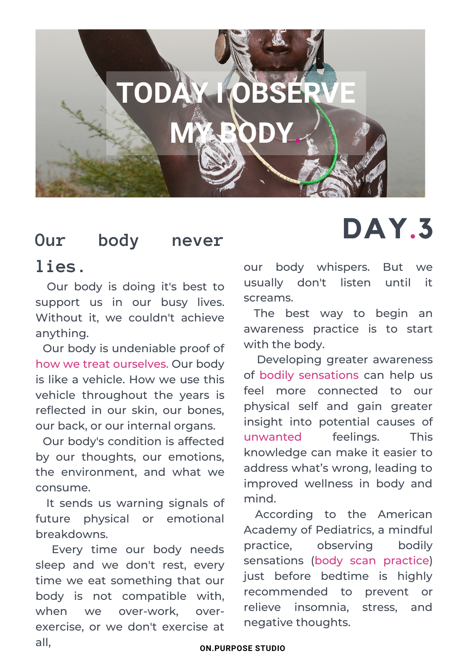

## **Our body never DAY.3**

### **lies.**

Our body is doing it's best to support us in our busy lives. Without it, we couldn't achieve anything.

is like a vehicle. How we use this Our body is undeniable proof of how we treat ourselves. Our body vehicle throughout the years is reflected in our skin, our bones, our back, or our internal organs.

Our body's condition is affected by our thoughts, our emotions, the environment, and what we consume.

It sends us warning signals of future physical or emotional breakdowns.

Every time our body needs sleep and we don't rest, every time we eat something that our body is not compatible with, when we over-work, overexercise, or we don't exercise at all,

our body whispers. But we usually don't listen until it screams.

The best way to begin an awareness practice is to start with the body.

Developing greater awareness of bodily sensations can help us feel more connected to our physical self and gain greater insight into potential causes of unwanted feelings. This knowledge can make it easier to address what's wrong, leading to improved wellness in body and mind.

According to the American Academy of Pediatrics, a mindful practice, observing bodily sensations (body scan practice) just before bedtime is highly recommended to prevent or relieve insomnia, stress, and negative thoughts.